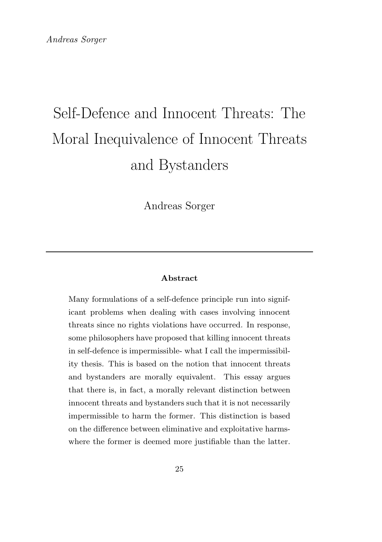Andreas Sorger

#### Abstract

Many formulations of a self-defence principle run into significant problems when dealing with cases involving innocent threats since no rights violations have occurred. In response, some philosophers have proposed that killing innocent threats in self-defence is impermissible- what I call the impermissibility thesis. This is based on the notion that innocent threats and bystanders are morally equivalent. This essay argues that there is, in fact, a morally relevant distinction between innocent threats and bystanders such that it is not necessarily impermissible to harm the former. This distinction is based on the difference between eliminative and exploitative harmswhere the former is deemed more justifiable than the latter.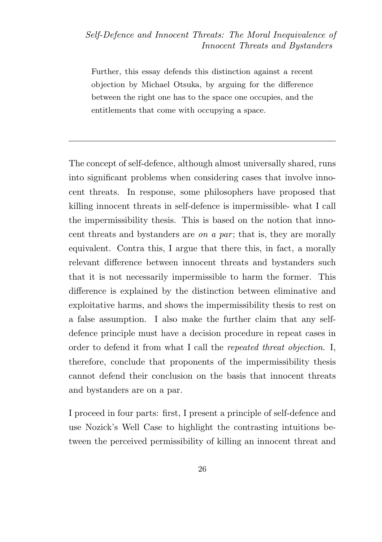Further, this essay defends this distinction against a recent objection by Michael Otsuka, by arguing for the difference between the right one has to the space one occupies, and the entitlements that come with occupying a space.

The concept of self-defence, although almost universally shared, runs into significant problems when considering cases that involve innocent threats. In response, some philosophers have proposed that killing innocent threats in self-defence is impermissible- what I call the impermissibility thesis. This is based on the notion that innocent threats and bystanders are *on a par*; that is, they are morally equivalent. Contra this, I argue that there this, in fact, a morally relevant difference between innocent threats and bystanders such that it is not necessarily impermissible to harm the former. This difference is explained by the distinction between eliminative and exploitative harms, and shows the impermissibility thesis to rest on a false assumption. I also make the further claim that any selfdefence principle must have a decision procedure in repeat cases in order to defend it from what I call the repeated threat objection. I, therefore, conclude that proponents of the impermissibility thesis cannot defend their conclusion on the basis that innocent threats and bystanders are on a par.

I proceed in four parts: first, I present a principle of self-defence and use Nozick's Well Case to highlight the contrasting intuitions between the perceived permissibility of killing an innocent threat and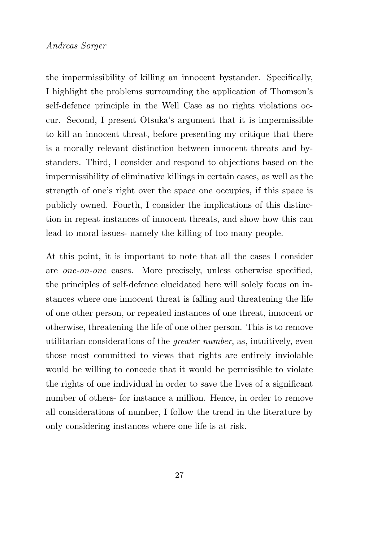the impermissibility of killing an innocent bystander. Specifically, I highlight the problems surrounding the application of Thomson's self-defence principle in the Well Case as no rights violations occur. Second, I present Otsuka's argument that it is impermissible to kill an innocent threat, before presenting my critique that there is a morally relevant distinction between innocent threats and bystanders. Third, I consider and respond to objections based on the impermissibility of eliminative killings in certain cases, as well as the strength of one's right over the space one occupies, if this space is publicly owned. Fourth, I consider the implications of this distinction in repeat instances of innocent threats, and show how this can lead to moral issues- namely the killing of too many people.

At this point, it is important to note that all the cases I consider are one-on-one cases. More precisely, unless otherwise specified, the principles of self-defence elucidated here will solely focus on instances where one innocent threat is falling and threatening the life of one other person, or repeated instances of one threat, innocent or otherwise, threatening the life of one other person. This is to remove utilitarian considerations of the greater number, as, intuitively, even those most committed to views that rights are entirely inviolable would be willing to concede that it would be permissible to violate the rights of one individual in order to save the lives of a significant number of others- for instance a million. Hence, in order to remove all considerations of number, I follow the trend in the literature by only considering instances where one life is at risk.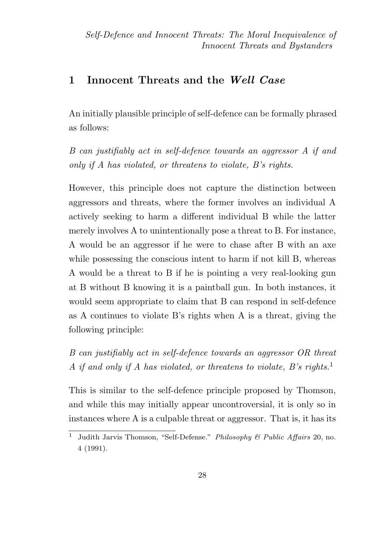## 1 Innocent Threats and the Well Case

An initially plausible principle of self-defence can be formally phrased as follows:

B can justifiably act in self-defence towards an aggressor A if and only if A has violated, or threatens to violate, B's rights.

However, this principle does not capture the distinction between aggressors and threats, where the former involves an individual A actively seeking to harm a different individual B while the latter merely involves A to unintentionally pose a threat to B. For instance, A would be an aggressor if he were to chase after B with an axe while possessing the conscious intent to harm if not kill B, whereas A would be a threat to B if he is pointing a very real-looking gun at B without B knowing it is a paintball gun. In both instances, it would seem appropriate to claim that B can respond in self-defence as A continues to violate B's rights when A is a threat, giving the following principle:

B can justifiably act in self-defence towards an aggressor OR threat A if and only if A has violated, or threatens to violate, B's rights.<sup>1</sup>

This is similar to the self-defence principle proposed by Thomson, and while this may initially appear uncontroversial, it is only so in instances where A is a culpable threat or aggressor. That is, it has its

<sup>&</sup>lt;sup>1</sup> Judith Jarvis Thomson, "Self-Defense." Philosophy & Public Affairs 20, no. 4 (1991).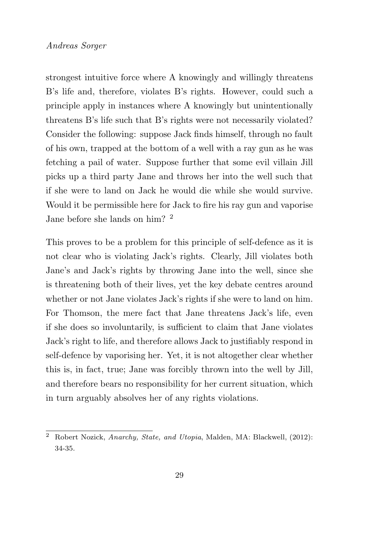strongest intuitive force where A knowingly and willingly threatens B's life and, therefore, violates B's rights. However, could such a principle apply in instances where A knowingly but unintentionally threatens B's life such that B's rights were not necessarily violated? Consider the following: suppose Jack finds himself, through no fault of his own, trapped at the bottom of a well with a ray gun as he was fetching a pail of water. Suppose further that some evil villain Jill picks up a third party Jane and throws her into the well such that if she were to land on Jack he would die while she would survive. Would it be permissible here for Jack to fire his ray gun and vaporise Jane before she lands on him? <sup>2</sup>

This proves to be a problem for this principle of self-defence as it is not clear who is violating Jack's rights. Clearly, Jill violates both Jane's and Jack's rights by throwing Jane into the well, since she is threatening both of their lives, yet the key debate centres around whether or not Jane violates Jack's rights if she were to land on him. For Thomson, the mere fact that Jane threatens Jack's life, even if she does so involuntarily, is sufficient to claim that Jane violates Jack's right to life, and therefore allows Jack to justifiably respond in self-defence by vaporising her. Yet, it is not altogether clear whether this is, in fact, true; Jane was forcibly thrown into the well by Jill, and therefore bears no responsibility for her current situation, which in turn arguably absolves her of any rights violations.

<sup>2</sup> Robert Nozick, Anarchy, State, and Utopia, Malden, MA: Blackwell, (2012): 34-35.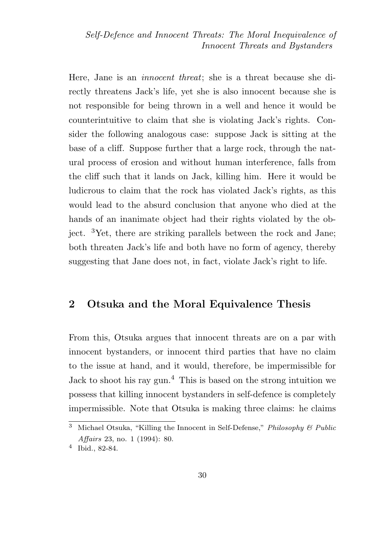Here, Jane is an innocent threat; she is a threat because she directly threatens Jack's life, yet she is also innocent because she is not responsible for being thrown in a well and hence it would be counterintuitive to claim that she is violating Jack's rights. Consider the following analogous case: suppose Jack is sitting at the base of a cliff. Suppose further that a large rock, through the natural process of erosion and without human interference, falls from the cliff such that it lands on Jack, killing him. Here it would be ludicrous to claim that the rock has violated Jack's rights, as this would lead to the absurd conclusion that anyone who died at the hands of an inanimate object had their rights violated by the object. <sup>3</sup>Yet, there are striking parallels between the rock and Jane; both threaten Jack's life and both have no form of agency, thereby suggesting that Jane does not, in fact, violate Jack's right to life.

## 2 Otsuka and the Moral Equivalence Thesis

From this, Otsuka argues that innocent threats are on a par with innocent bystanders, or innocent third parties that have no claim to the issue at hand, and it would, therefore, be impermissible for Jack to shoot his ray gun.<sup>4</sup> This is based on the strong intuition we possess that killing innocent bystanders in self-defence is completely impermissible. Note that Otsuka is making three claims: he claims

<sup>&</sup>lt;sup>3</sup> Michael Otsuka, "Killing the Innocent in Self-Defense," Philosophy & Public Affairs 23, no. 1 (1994): 80.

<sup>4</sup> Ibid., 82-84.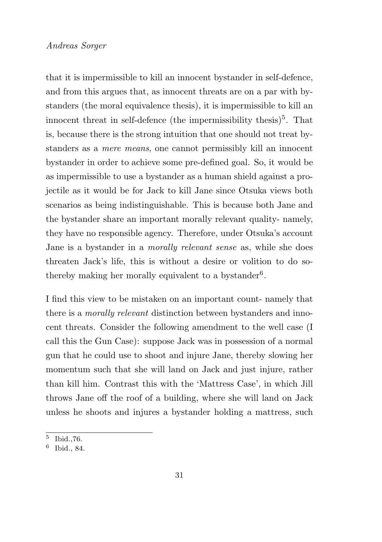that it is impermissible to kill an innocent bystander in self-defence, and from this argues that, as innocent threats are on a par with bystanders (the moral equivalence thesis), it is impermissible to kill an innocent threat in self-defence (the impermissibility thesis)<sup>5</sup>. That is, because there is the strong intuition that one should not treat bystanders as a mere means, one cannot permissibly kill an innocent bystander in order to achieve some pre-defined goal. So, it would be as impermissible to use a bystander as a human shield against a projectile as it would be for Jack to kill Jane since Otsuka views both scenarios as being indistinguishable. This is because both Jane and the bystander share an important morally relevant quality- namely, they have no responsible agency. Therefore, under Otsuka's account Jane is a bystander in a morally relevant sense as, while she does threaten Jack's life, this is without a desire or volition to do sothereby making her morally equivalent to a bystander<sup>6</sup>.

I find this view to be mistaken on an important count- namely that there is a morally relevant distinction between bystanders and innocent threats. Consider the following amendment to the well case (I call this the Gun Case): suppose Jack was in possession of a normal gun that he could use to shoot and injure Jane, thereby slowing her momentum such that she will land on Jack and just injure, rather than kill him. Contrast this with the 'Mattress Case', in which Jill throws Jane off the roof of a building, where she will land on Jack unless he shoots and injures a bystander holding a mattress, such

<sup>5</sup> Ibid.,76.

<sup>6</sup> Ibid., 84.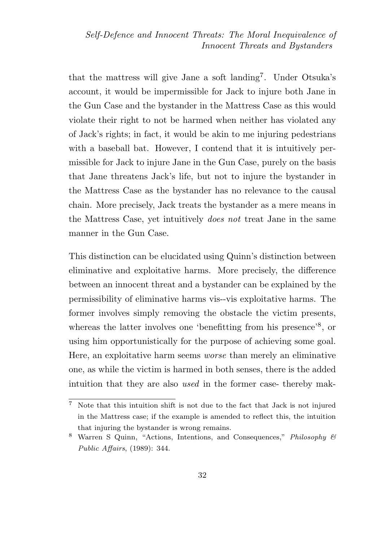that the mattress will give Jane a soft landing<sup>7</sup>. Under Otsuka's account, it would be impermissible for Jack to injure both Jane in the Gun Case and the bystander in the Mattress Case as this would violate their right to not be harmed when neither has violated any of Jack's rights; in fact, it would be akin to me injuring pedestrians with a baseball bat. However, I contend that it is intuitively permissible for Jack to injure Jane in the Gun Case, purely on the basis that Jane threatens Jack's life, but not to injure the bystander in the Mattress Case as the bystander has no relevance to the causal chain. More precisely, Jack treats the bystander as a mere means in the Mattress Case, yet intuitively does not treat Jane in the same manner in the Gun Case.

This distinction can be elucidated using Quinn's distinction between eliminative and exploitative harms. More precisely, the difference between an innocent threat and a bystander can be explained by the permissibility of eliminative harms vis--vis exploitative harms. The former involves simply removing the obstacle the victim presents, whereas the latter involves one 'benefitting from his presence'<sup>8</sup>, or using him opportunistically for the purpose of achieving some goal. Here, an exploitative harm seems worse than merely an eliminative one, as while the victim is harmed in both senses, there is the added intuition that they are also used in the former case- thereby mak-

<sup>7</sup> Note that this intuition shift is not due to the fact that Jack is not injured in the Mattress case; if the example is amended to reflect this, the intuition that injuring the bystander is wrong remains.

<sup>8</sup> Warren S Quinn, "Actions, Intentions, and Consequences," Philosophy & Public Affairs, (1989): 344.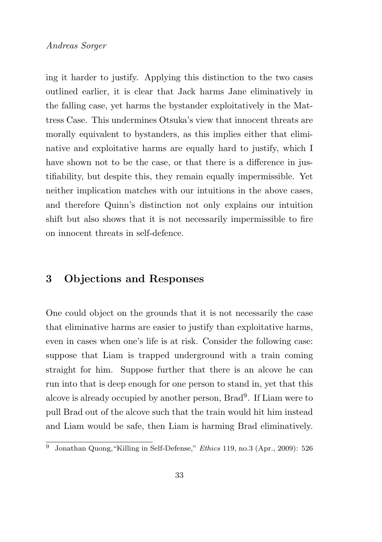ing it harder to justify. Applying this distinction to the two cases outlined earlier, it is clear that Jack harms Jane eliminatively in the falling case, yet harms the bystander exploitatively in the Mattress Case. This undermines Otsuka's view that innocent threats are morally equivalent to bystanders, as this implies either that eliminative and exploitative harms are equally hard to justify, which I have shown not to be the case, or that there is a difference in justifiability, but despite this, they remain equally impermissible. Yet neither implication matches with our intuitions in the above cases, and therefore Quinn's distinction not only explains our intuition shift but also shows that it is not necessarily impermissible to fire on innocent threats in self-defence.

## 3 Objections and Responses

One could object on the grounds that it is not necessarily the case that eliminative harms are easier to justify than exploitative harms, even in cases when one's life is at risk. Consider the following case: suppose that Liam is trapped underground with a train coming straight for him. Suppose further that there is an alcove he can run into that is deep enough for one person to stand in, yet that this alcove is already occupied by another person, Brad<sup>9</sup> . If Liam were to pull Brad out of the alcove such that the train would hit him instead and Liam would be safe, then Liam is harming Brad eliminatively.

 $\overline{9}$  Jonathan Quong, "Killing in Self-Defense," *Ethics* 119, no.3 (Apr., 2009): 526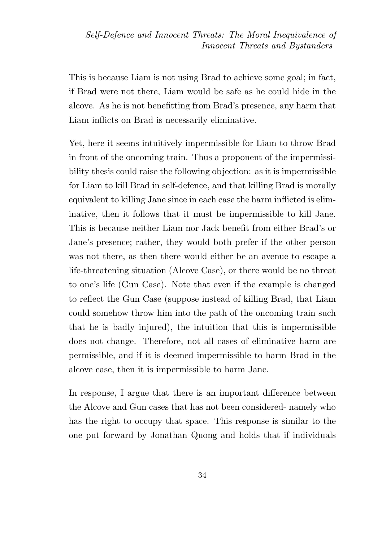This is because Liam is not using Brad to achieve some goal; in fact, if Brad were not there, Liam would be safe as he could hide in the alcove. As he is not benefitting from Brad's presence, any harm that Liam inflicts on Brad is necessarily eliminative.

Yet, here it seems intuitively impermissible for Liam to throw Brad in front of the oncoming train. Thus a proponent of the impermissibility thesis could raise the following objection: as it is impermissible for Liam to kill Brad in self-defence, and that killing Brad is morally equivalent to killing Jane since in each case the harm inflicted is eliminative, then it follows that it must be impermissible to kill Jane. This is because neither Liam nor Jack benefit from either Brad's or Jane's presence; rather, they would both prefer if the other person was not there, as then there would either be an avenue to escape a life-threatening situation (Alcove Case), or there would be no threat to one's life (Gun Case). Note that even if the example is changed to reflect the Gun Case (suppose instead of killing Brad, that Liam could somehow throw him into the path of the oncoming train such that he is badly injured), the intuition that this is impermissible does not change. Therefore, not all cases of eliminative harm are permissible, and if it is deemed impermissible to harm Brad in the alcove case, then it is impermissible to harm Jane.

In response, I argue that there is an important difference between the Alcove and Gun cases that has not been considered- namely who has the right to occupy that space. This response is similar to the one put forward by Jonathan Quong and holds that if individuals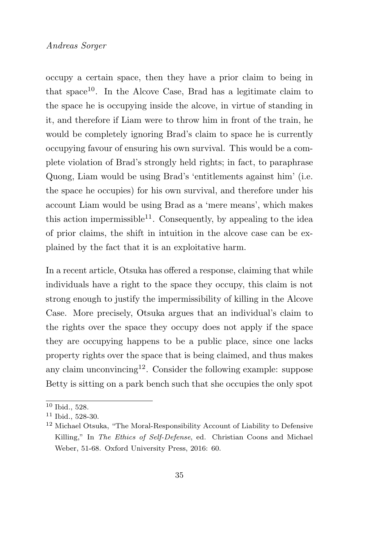occupy a certain space, then they have a prior claim to being in that space<sup>10</sup>. In the Alcove Case, Brad has a legitimate claim to the space he is occupying inside the alcove, in virtue of standing in it, and therefore if Liam were to throw him in front of the train, he would be completely ignoring Brad's claim to space he is currently occupying favour of ensuring his own survival. This would be a complete violation of Brad's strongly held rights; in fact, to paraphrase Quong, Liam would be using Brad's 'entitlements against him' (i.e. the space he occupies) for his own survival, and therefore under his account Liam would be using Brad as a 'mere means', which makes this action impermissible<sup>11</sup>. Consequently, by appealing to the idea of prior claims, the shift in intuition in the alcove case can be explained by the fact that it is an exploitative harm.

In a recent article, Otsuka has offered a response, claiming that while individuals have a right to the space they occupy, this claim is not strong enough to justify the impermissibility of killing in the Alcove Case. More precisely, Otsuka argues that an individual's claim to the rights over the space they occupy does not apply if the space they are occupying happens to be a public place, since one lacks property rights over the space that is being claimed, and thus makes any claim unconvincing<sup>12</sup>. Consider the following example: suppose Betty is sitting on a park bench such that she occupies the only spot

<sup>10</sup> Ibid., 528.

<sup>11</sup> Ibid., 528-30.

<sup>12</sup> Michael Otsuka, "The Moral-Responsibility Account of Liability to Defensive Killing," In The Ethics of Self-Defense, ed. Christian Coons and Michael Weber, 51-68. Oxford University Press, 2016: 60.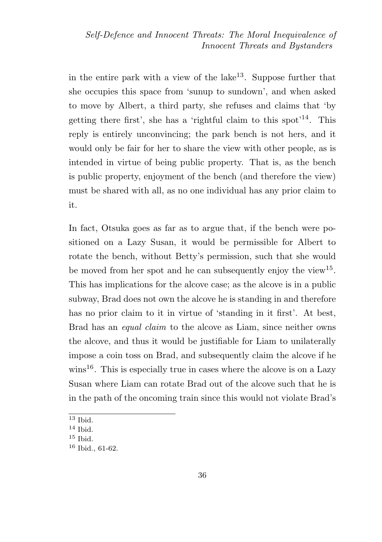in the entire park with a view of the lake<sup>13</sup>. Suppose further that she occupies this space from 'sunup to sundown', and when asked to move by Albert, a third party, she refuses and claims that 'by getting there first', she has a 'rightful claim to this spot'<sup>14</sup>. This reply is entirely unconvincing; the park bench is not hers, and it would only be fair for her to share the view with other people, as is intended in virtue of being public property. That is, as the bench is public property, enjoyment of the bench (and therefore the view) must be shared with all, as no one individual has any prior claim to it.

In fact, Otsuka goes as far as to argue that, if the bench were positioned on a Lazy Susan, it would be permissible for Albert to rotate the bench, without Betty's permission, such that she would be moved from her spot and he can subsequently enjoy the view<sup>15</sup>. This has implications for the alcove case; as the alcove is in a public subway, Brad does not own the alcove he is standing in and therefore has no prior claim to it in virtue of 'standing in it first'. At best, Brad has an equal claim to the alcove as Liam, since neither owns the alcove, and thus it would be justifiable for Liam to unilaterally impose a coin toss on Brad, and subsequently claim the alcove if he  $\text{wins}^{16}$ . This is especially true in cases where the alcove is on a Lazy Susan where Liam can rotate Brad out of the alcove such that he is in the path of the oncoming train since this would not violate Brad's

 $13$  Ibid.

<sup>14</sup> Ibid.

 $15$  Ibid.

 $16$  Ibid., 61-62.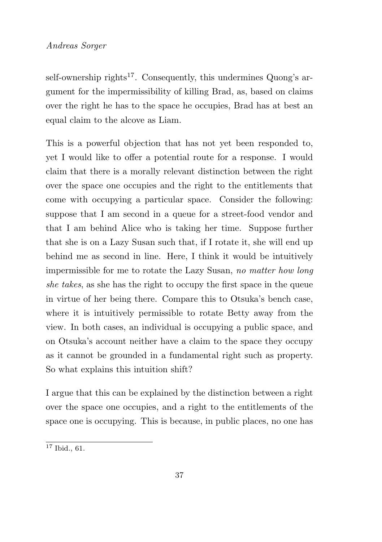self-ownership rights<sup>17</sup>. Consequently, this undermines Quong's argument for the impermissibility of killing Brad, as, based on claims over the right he has to the space he occupies, Brad has at best an equal claim to the alcove as Liam.

This is a powerful objection that has not yet been responded to, yet I would like to offer a potential route for a response. I would claim that there is a morally relevant distinction between the right over the space one occupies and the right to the entitlements that come with occupying a particular space. Consider the following: suppose that I am second in a queue for a street-food vendor and that I am behind Alice who is taking her time. Suppose further that she is on a Lazy Susan such that, if I rotate it, she will end up behind me as second in line. Here, I think it would be intuitively impermissible for me to rotate the Lazy Susan, no matter how long she takes, as she has the right to occupy the first space in the queue in virtue of her being there. Compare this to Otsuka's bench case, where it is intuitively permissible to rotate Betty away from the view. In both cases, an individual is occupying a public space, and on Otsuka's account neither have a claim to the space they occupy as it cannot be grounded in a fundamental right such as property. So what explains this intuition shift?

I argue that this can be explained by the distinction between a right over the space one occupies, and a right to the entitlements of the space one is occupying. This is because, in public places, no one has

 $17$  Ibid., 61.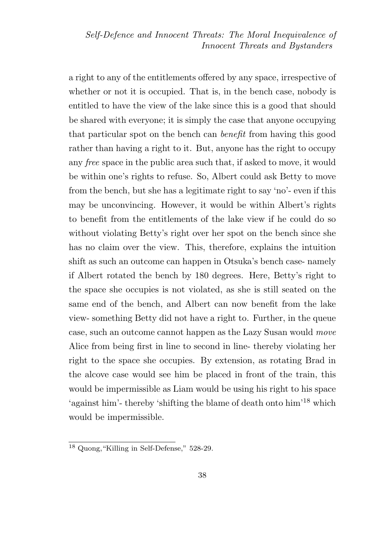a right to any of the entitlements offered by any space, irrespective of whether or not it is occupied. That is, in the bench case, nobody is entitled to have the view of the lake since this is a good that should be shared with everyone; it is simply the case that anyone occupying that particular spot on the bench can benefit from having this good rather than having a right to it. But, anyone has the right to occupy any free space in the public area such that, if asked to move, it would be within one's rights to refuse. So, Albert could ask Betty to move from the bench, but she has a legitimate right to say 'no'- even if this may be unconvincing. However, it would be within Albert's rights to benefit from the entitlements of the lake view if he could do so without violating Betty's right over her spot on the bench since she has no claim over the view. This, therefore, explains the intuition shift as such an outcome can happen in Otsuka's bench case- namely if Albert rotated the bench by 180 degrees. Here, Betty's right to the space she occupies is not violated, as she is still seated on the same end of the bench, and Albert can now benefit from the lake view- something Betty did not have a right to. Further, in the queue case, such an outcome cannot happen as the Lazy Susan would move Alice from being first in line to second in line- thereby violating her right to the space she occupies. By extension, as rotating Brad in the alcove case would see him be placed in front of the train, this would be impermissible as Liam would be using his right to his space 'against him'- thereby 'shifting the blame of death onto him'<sup>18</sup> which would be impermissible.

 $18$  Quong, "Killing in Self-Defense," 528-29.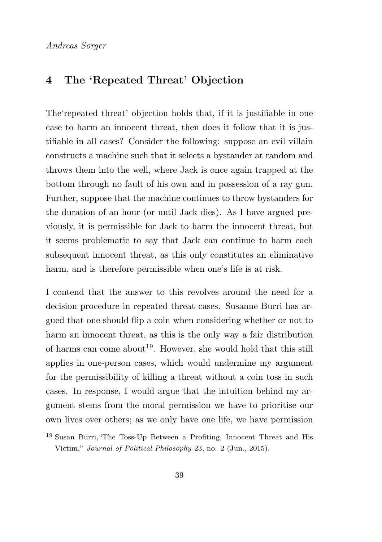## 4 The 'Repeated Threat' Objection

The'repeated threat' objection holds that, if it is justifiable in one case to harm an innocent threat, then does it follow that it is justifiable in all cases? Consider the following: suppose an evil villain constructs a machine such that it selects a bystander at random and throws them into the well, where Jack is once again trapped at the bottom through no fault of his own and in possession of a ray gun. Further, suppose that the machine continues to throw bystanders for the duration of an hour (or until Jack dies). As I have argued previously, it is permissible for Jack to harm the innocent threat, but it seems problematic to say that Jack can continue to harm each subsequent innocent threat, as this only constitutes an eliminative harm, and is therefore permissible when one's life is at risk.

I contend that the answer to this revolves around the need for a decision procedure in repeated threat cases. Susanne Burri has argued that one should flip a coin when considering whether or not to harm an innocent threat, as this is the only way a fair distribution of harms can come about<sup>19</sup>. However, she would hold that this still applies in one-person cases, which would undermine my argument for the permissibility of killing a threat without a coin toss in such cases. In response, I would argue that the intuition behind my argument stems from the moral permission we have to prioritise our own lives over others; as we only have one life, we have permission

<sup>&</sup>lt;sup>19</sup> Susan Burri, "The Toss-Up Between a Profiting, Innocent Threat and His Victim," Journal of Political Philosophy 23, no. 2 (Jun., 2015).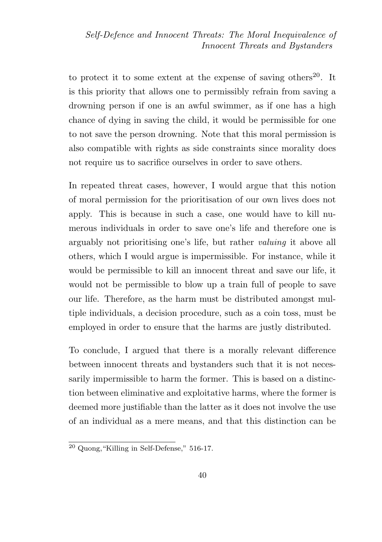to protect it to some extent at the expense of saving others<sup>20</sup>. It is this priority that allows one to permissibly refrain from saving a drowning person if one is an awful swimmer, as if one has a high chance of dying in saving the child, it would be permissible for one to not save the person drowning. Note that this moral permission is also compatible with rights as side constraints since morality does not require us to sacrifice ourselves in order to save others.

In repeated threat cases, however, I would argue that this notion of moral permission for the prioritisation of our own lives does not apply. This is because in such a case, one would have to kill numerous individuals in order to save one's life and therefore one is arguably not prioritising one's life, but rather valuing it above all others, which I would argue is impermissible. For instance, while it would be permissible to kill an innocent threat and save our life, it would not be permissible to blow up a train full of people to save our life. Therefore, as the harm must be distributed amongst multiple individuals, a decision procedure, such as a coin toss, must be employed in order to ensure that the harms are justly distributed.

To conclude, I argued that there is a morally relevant difference between innocent threats and bystanders such that it is not necessarily impermissible to harm the former. This is based on a distinction between eliminative and exploitative harms, where the former is deemed more justifiable than the latter as it does not involve the use of an individual as a mere means, and that this distinction can be

 $20$  Quong, "Killing in Self-Defense," 516-17.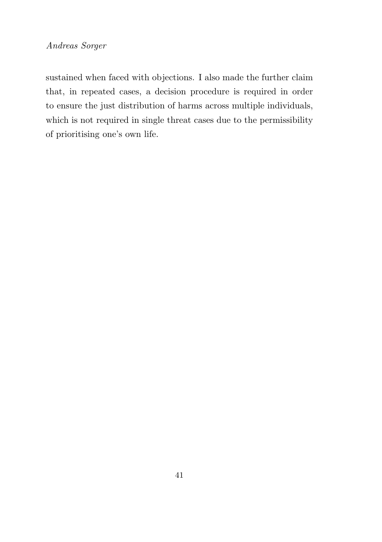sustained when faced with objections. I also made the further claim that, in repeated cases, a decision procedure is required in order to ensure the just distribution of harms across multiple individuals, which is not required in single threat cases due to the permissibility of prioritising one's own life.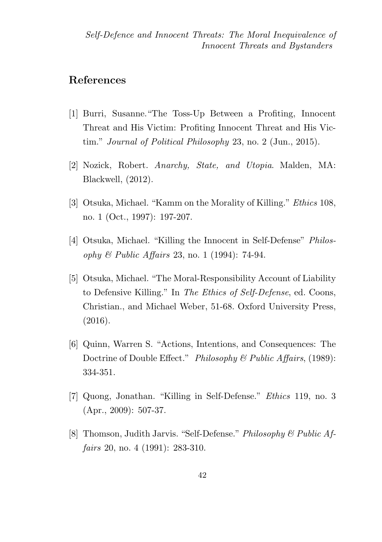## References

- [1] Burri, Susanne."The Toss-Up Between a Profiting, Innocent Threat and His Victim: Profiting Innocent Threat and His Victim." Journal of Political Philosophy 23, no. 2 (Jun., 2015).
- [2] Nozick, Robert. Anarchy, State, and Utopia. Malden, MA: Blackwell, (2012).
- [3] Otsuka, Michael. "Kamm on the Morality of Killing." Ethics 108, no. 1 (Oct., 1997): 197-207.
- [4] Otsuka, Michael. "Killing the Innocent in Self-Defense" Philosophy & Public Affairs 23, no. 1 (1994): 74-94.
- [5] Otsuka, Michael. "The Moral-Responsibility Account of Liability to Defensive Killing." In The Ethics of Self-Defense, ed. Coons, Christian., and Michael Weber, 51-68. Oxford University Press, (2016).
- [6] Quinn, Warren S. "Actions, Intentions, and Consequences: The Doctrine of Double Effect." Philosophy & Public Affairs, (1989): 334-351.
- [7] Quong, Jonathan. "Killing in Self-Defense." Ethics 119, no. 3 (Apr., 2009): 507-37.
- [8] Thomson, Judith Jarvis. "Self-Defense." Philosophy & Public Affairs 20, no. 4 (1991): 283-310.